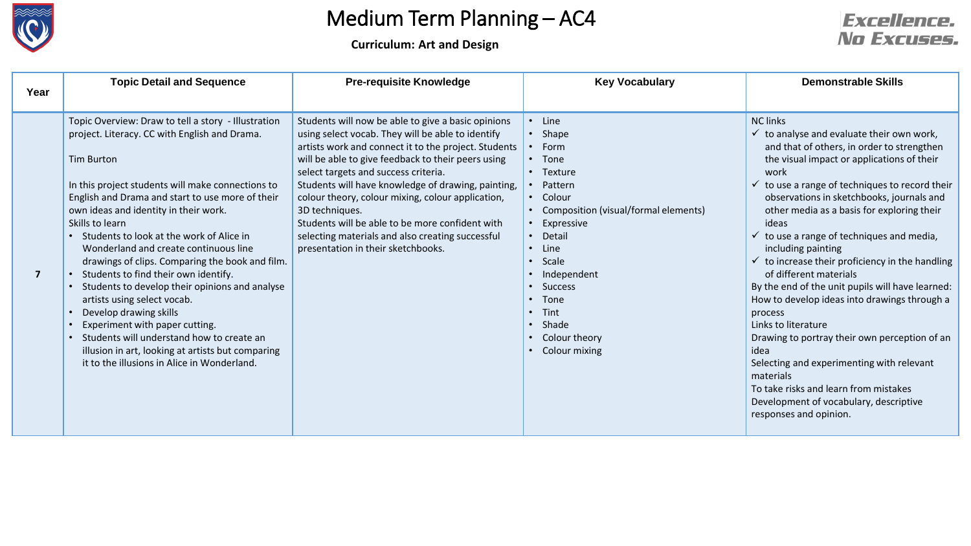

**Curriculum: Art and Design**

| Year | <b>Topic Detail and Sequence</b>                                                                                                                                                                                                                                                                                                                                                                                                                                                                                                                                                                                                                                                                                                                                                 | <b>Pre-requisite Knowledge</b>                                                                                                                                                                                                                                                                                                                                                                                                                                                                                                          | <b>Key Vocabulary</b>                                                                                                                                                                                                                                                                 | <b>Demonstrable Skills</b>                                                                                                                                                                                                                                                                                                                                                                                                                                                                                                                                                                                                                                                                                                                                                                                                                                                               |
|------|----------------------------------------------------------------------------------------------------------------------------------------------------------------------------------------------------------------------------------------------------------------------------------------------------------------------------------------------------------------------------------------------------------------------------------------------------------------------------------------------------------------------------------------------------------------------------------------------------------------------------------------------------------------------------------------------------------------------------------------------------------------------------------|-----------------------------------------------------------------------------------------------------------------------------------------------------------------------------------------------------------------------------------------------------------------------------------------------------------------------------------------------------------------------------------------------------------------------------------------------------------------------------------------------------------------------------------------|---------------------------------------------------------------------------------------------------------------------------------------------------------------------------------------------------------------------------------------------------------------------------------------|------------------------------------------------------------------------------------------------------------------------------------------------------------------------------------------------------------------------------------------------------------------------------------------------------------------------------------------------------------------------------------------------------------------------------------------------------------------------------------------------------------------------------------------------------------------------------------------------------------------------------------------------------------------------------------------------------------------------------------------------------------------------------------------------------------------------------------------------------------------------------------------|
|      |                                                                                                                                                                                                                                                                                                                                                                                                                                                                                                                                                                                                                                                                                                                                                                                  |                                                                                                                                                                                                                                                                                                                                                                                                                                                                                                                                         |                                                                                                                                                                                                                                                                                       |                                                                                                                                                                                                                                                                                                                                                                                                                                                                                                                                                                                                                                                                                                                                                                                                                                                                                          |
| 7    | Topic Overview: Draw to tell a story - Illustration<br>project. Literacy. CC with English and Drama.<br><b>Tim Burton</b><br>In this project students will make connections to<br>English and Drama and start to use more of their<br>own ideas and identity in their work.<br>Skills to learn<br>• Students to look at the work of Alice in<br>Wonderland and create continuous line<br>drawings of clips. Comparing the book and film.<br>• Students to find their own identify.<br>Students to develop their opinions and analyse<br>artists using select vocab.<br>Develop drawing skills<br>Experiment with paper cutting.<br>Students will understand how to create an<br>illusion in art, looking at artists but comparing<br>it to the illusions in Alice in Wonderland. | Students will now be able to give a basic opinions<br>using select vocab. They will be able to identify<br>artists work and connect it to the project. Students<br>will be able to give feedback to their peers using<br>select targets and success criteria.<br>Students will have knowledge of drawing, painting,<br>colour theory, colour mixing, colour application,<br>3D techniques.<br>Students will be able to be more confident with<br>selecting materials and also creating successful<br>presentation in their sketchbooks. | $\cdot$ Line<br>• Shape<br>$\cdot$ Form<br>• Tone<br>• Texture<br>• Pattern<br>• Colour<br>• Composition (visual/formal elements)<br>Expressive<br>Detail<br>$\cdot$ Line<br>• Scale<br>• Independent<br>• Success<br>• Tone<br>Tint<br>• Shade<br>• Colour theory<br>• Colour mixing | <b>NC links</b><br>$\checkmark$ to analyse and evaluate their own work,<br>and that of others, in order to strengthen<br>the visual impact or applications of their<br>work<br>$\checkmark$ to use a range of techniques to record their<br>observations in sketchbooks, journals and<br>other media as a basis for exploring their<br>ideas<br>$\checkmark$ to use a range of techniques and media,<br>including painting<br>$\checkmark$ to increase their proficiency in the handling<br>of different materials<br>By the end of the unit pupils will have learned:<br>How to develop ideas into drawings through a<br>process<br>Links to literature<br>Drawing to portray their own perception of an<br>idea<br>Selecting and experimenting with relevant<br>materials<br>To take risks and learn from mistakes<br>Development of vocabulary, descriptive<br>responses and opinion. |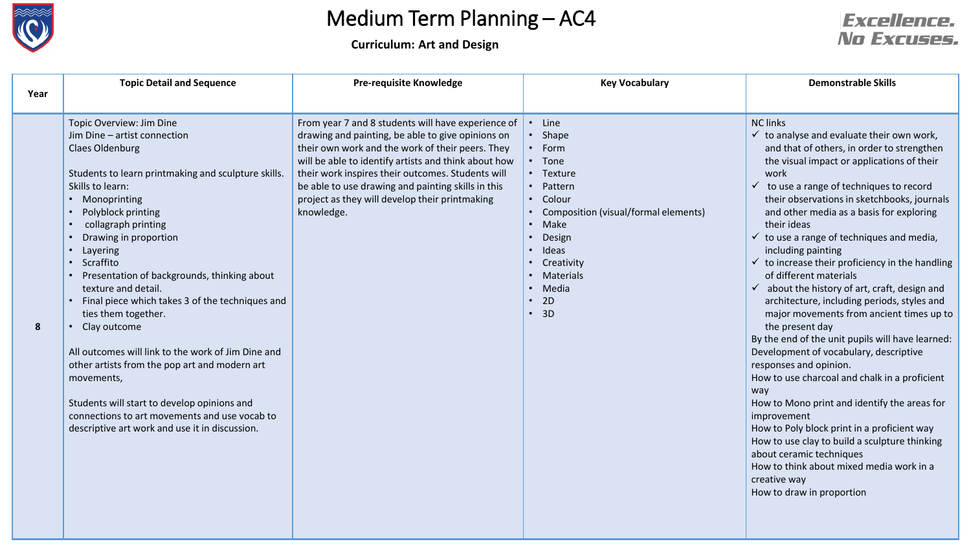

**Curriculum: Art and Design**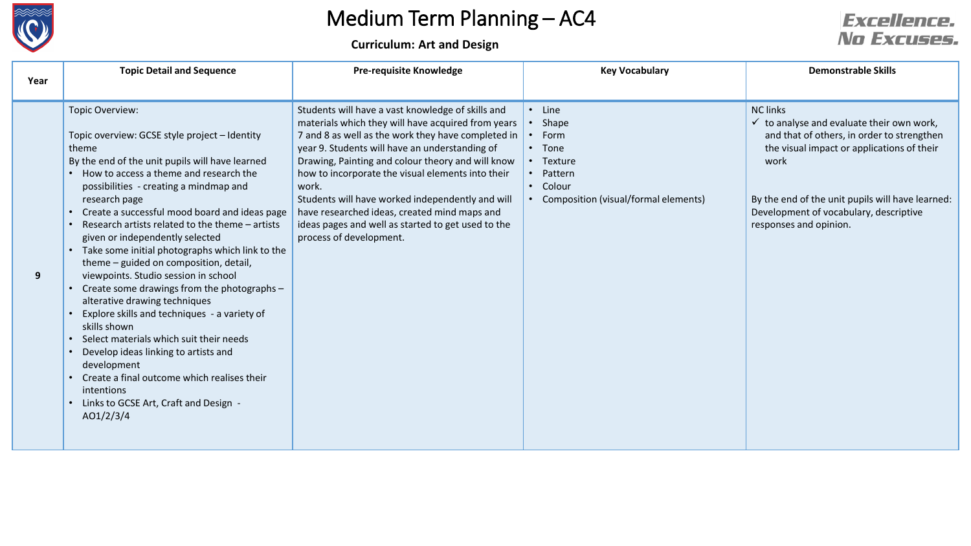

**Curriculum: Art and Design**

| Year | <b>Topic Detail and Sequence</b>                                                                                                                                                                                                                                                                                                                                                                                                                                                                                                                                                                                                                                                                                                                                                                                                                                                                                                           | <b>Pre-requisite Knowledge</b>                                                                                                                                                                                                                                                                                                                                                                                                                                                                                          | <b>Key Vocabulary</b>                                                                                                                                | <b>Demonstrable Skills</b>                                                                                                                                                                                                                                                                          |
|------|--------------------------------------------------------------------------------------------------------------------------------------------------------------------------------------------------------------------------------------------------------------------------------------------------------------------------------------------------------------------------------------------------------------------------------------------------------------------------------------------------------------------------------------------------------------------------------------------------------------------------------------------------------------------------------------------------------------------------------------------------------------------------------------------------------------------------------------------------------------------------------------------------------------------------------------------|-------------------------------------------------------------------------------------------------------------------------------------------------------------------------------------------------------------------------------------------------------------------------------------------------------------------------------------------------------------------------------------------------------------------------------------------------------------------------------------------------------------------------|------------------------------------------------------------------------------------------------------------------------------------------------------|-----------------------------------------------------------------------------------------------------------------------------------------------------------------------------------------------------------------------------------------------------------------------------------------------------|
| 9    | Topic Overview:<br>Topic overview: GCSE style project - Identity<br>theme<br>By the end of the unit pupils will have learned<br>• How to access a theme and research the<br>possibilities - creating a mindmap and<br>research page<br>Create a successful mood board and ideas page<br>Research artists related to the theme - artists<br>$\bullet$<br>given or independently selected<br>• Take some initial photographs which link to the<br>theme - guided on composition, detail,<br>viewpoints. Studio session in school<br>Create some drawings from the photographs -<br>alterative drawing techniques<br>Explore skills and techniques - a variety of<br>skills shown<br>Select materials which suit their needs<br>$\bullet$<br>Develop ideas linking to artists and<br>$\bullet$<br>development<br>Create a final outcome which realises their<br>$\bullet$<br>intentions<br>Links to GCSE Art, Craft and Design -<br>AO1/2/3/4 | Students will have a vast knowledge of skills and<br>materials which they will have acquired from years<br>7 and 8 as well as the work they have completed in<br>year 9. Students will have an understanding of<br>Drawing, Painting and colour theory and will know<br>how to incorporate the visual elements into their<br>work.<br>Students will have worked independently and will<br>have researched ideas, created mind maps and<br>ideas pages and well as started to get used to the<br>process of development. | • Line<br>Shape<br>$\bullet$<br>Form<br>$\bullet$<br>• Tone<br>• Texture<br>Pattern<br>$\bullet$<br>• Colour<br>Composition (visual/formal elements) | <b>NC links</b><br>$\checkmark$ to analyse and evaluate their own work,<br>and that of others, in order to strengthen<br>the visual impact or applications of their<br>work<br>By the end of the unit pupils will have learned:<br>Development of vocabulary, descriptive<br>responses and opinion. |